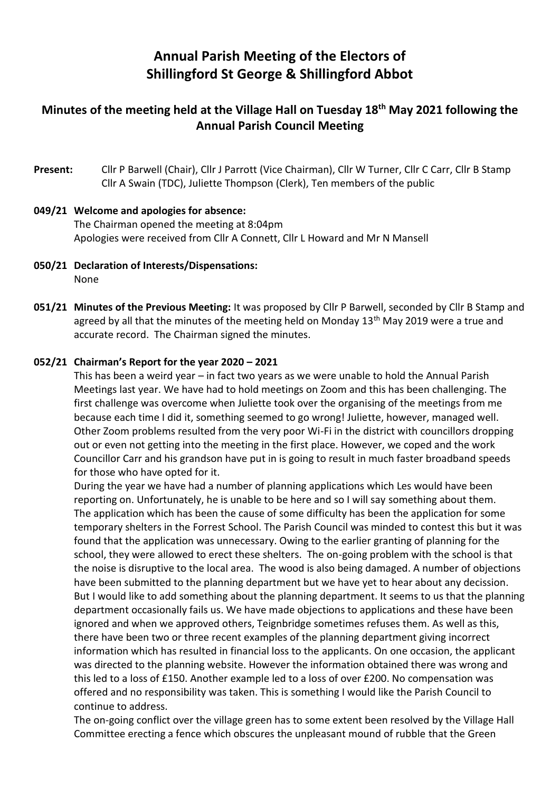# **Annual Parish Meeting of the Electors of Shillingford St George & Shillingford Abbot**

## **Minutes of the meeting held at the Village Hall on Tuesday 18th May 2021 following the Annual Parish Council Meeting**

**Present:** Cllr P Barwell (Chair), Cllr J Parrott (Vice Chairman), Cllr W Turner, Cllr C Carr, Cllr B Stamp Cllr A Swain (TDC), Juliette Thompson (Clerk), Ten members of the public

### **049/21 Welcome and apologies for absence:** The Chairman opened the meeting at 8:04pm Apologies were received from Cllr A Connett, Cllr L Howard and Mr N Mansell

- **050/21 Declaration of Interests/Dispensations:**  None
- **051/21 Minutes of the Previous Meeting:** It was proposed by Cllr P Barwell, seconded by Cllr B Stamp and agreed by all that the minutes of the meeting held on Monday  $13<sup>th</sup>$  May 2019 were a true and accurate record. The Chairman signed the minutes.

#### **052/21 Chairman's Report for the year 2020 – 2021**

This has been a weird year – in fact two years as we were unable to hold the Annual Parish Meetings last year. We have had to hold meetings on Zoom and this has been challenging. The first challenge was overcome when Juliette took over the organising of the meetings from me because each time I did it, something seemed to go wrong! Juliette, however, managed well. Other Zoom problems resulted from the very poor Wi-Fi in the district with councillors dropping out or even not getting into the meeting in the first place. However, we coped and the work Councillor Carr and his grandson have put in is going to result in much faster broadband speeds for those who have opted for it.

During the year we have had a number of planning applications which Les would have been reporting on. Unfortunately, he is unable to be here and so I will say something about them. The application which has been the cause of some difficulty has been the application for some temporary shelters in the Forrest School. The Parish Council was minded to contest this but it was found that the application was unnecessary. Owing to the earlier granting of planning for the school, they were allowed to erect these shelters. The on-going problem with the school is that the noise is disruptive to the local area. The wood is also being damaged. A number of objections have been submitted to the planning department but we have yet to hear about any decission. But I would like to add something about the planning department. It seems to us that the planning department occasionally fails us. We have made objections to applications and these have been ignored and when we approved others, Teignbridge sometimes refuses them. As well as this, there have been two or three recent examples of the planning department giving incorrect information which has resulted in financial loss to the applicants. On one occasion, the applicant was directed to the planning website. However the information obtained there was wrong and this led to a loss of £150. Another example led to a loss of over £200. No compensation was offered and no responsibility was taken. This is something I would like the Parish Council to continue to address.

The on-going conflict over the village green has to some extent been resolved by the Village Hall Committee erecting a fence which obscures the unpleasant mound of rubble that the Green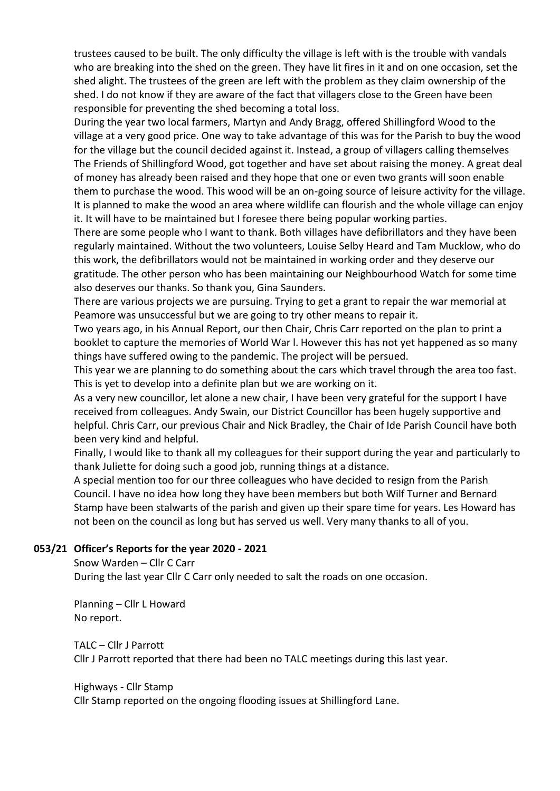trustees caused to be built. The only difficulty the village is left with is the trouble with vandals who are breaking into the shed on the green. They have lit fires in it and on one occasion, set the shed alight. The trustees of the green are left with the problem as they claim ownership of the shed. I do not know if they are aware of the fact that villagers close to the Green have been responsible for preventing the shed becoming a total loss.

During the year two local farmers, Martyn and Andy Bragg, offered Shillingford Wood to the village at a very good price. One way to take advantage of this was for the Parish to buy the wood for the village but the council decided against it. Instead, a group of villagers calling themselves The Friends of Shillingford Wood, got together and have set about raising the money. A great deal of money has already been raised and they hope that one or even two grants will soon enable them to purchase the wood. This wood will be an on-going source of leisure activity for the village. It is planned to make the wood an area where wildlife can flourish and the whole village can enjoy it. It will have to be maintained but I foresee there being popular working parties.

There are some people who I want to thank. Both villages have defibrillators and they have been regularly maintained. Without the two volunteers, Louise Selby Heard and Tam Mucklow, who do this work, the defibrillators would not be maintained in working order and they deserve our gratitude. The other person who has been maintaining our Neighbourhood Watch for some time also deserves our thanks. So thank you, Gina Saunders.

There are various projects we are pursuing. Trying to get a grant to repair the war memorial at Peamore was unsuccessful but we are going to try other means to repair it.

Two years ago, in his Annual Report, our then Chair, Chris Carr reported on the plan to print a booklet to capture the memories of World War l. However this has not yet happened as so many things have suffered owing to the pandemic. The project will be persued.

This year we are planning to do something about the cars which travel through the area too fast. This is yet to develop into a definite plan but we are working on it.

As a very new councillor, let alone a new chair, I have been very grateful for the support I have received from colleagues. Andy Swain, our District Councillor has been hugely supportive and helpful. Chris Carr, our previous Chair and Nick Bradley, the Chair of Ide Parish Council have both been very kind and helpful.

Finally, I would like to thank all my colleagues for their support during the year and particularly to thank Juliette for doing such a good job, running things at a distance.

A special mention too for our three colleagues who have decided to resign from the Parish Council. I have no idea how long they have been members but both Wilf Turner and Bernard Stamp have been stalwarts of the parish and given up their spare time for years. Les Howard has not been on the council as long but has served us well. Very many thanks to all of you.

#### **053/21 Officer's Reports for the year 2020 - 2021**

Snow Warden – Cllr C Carr During the last year Cllr C Carr only needed to salt the roads on one occasion.

Planning – Cllr L Howard No report.

TALC – Cllr J Parrott Cllr J Parrott reported that there had been no TALC meetings during this last year.

Highways - Cllr Stamp Cllr Stamp reported on the ongoing flooding issues at Shillingford Lane.